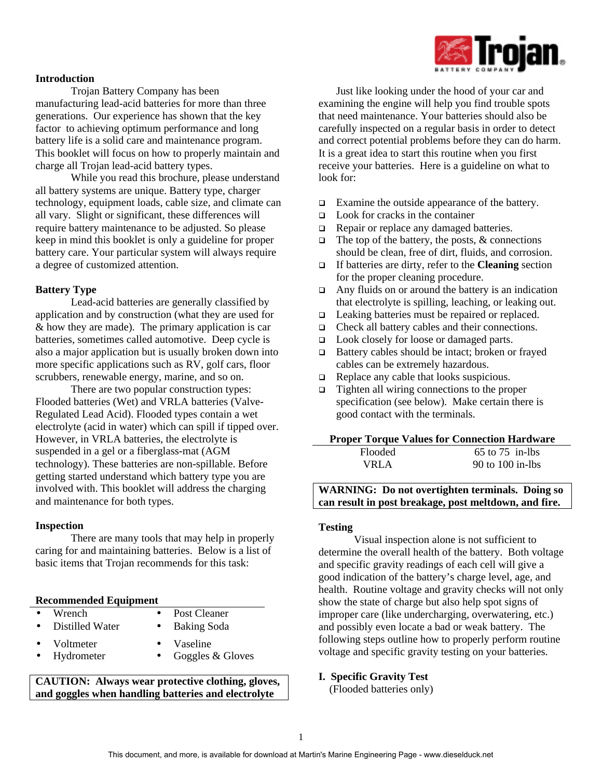

### **Introduction**

Trojan Battery Company has been manufacturing lead-acid batteries for more than three generations. Our experience has shown that the key factor to achieving optimum performance and long battery life is a solid care and maintenance program. This booklet will focus on how to properly maintain and charge all Trojan lead-acid battery types.

While you read this brochure, please understand all battery systems are unique. Battery type, charger technology, equipment loads, cable size, and climate can all vary. Slight or significant, these differences will require battery maintenance to be adjusted. So please keep in mind this booklet is only a guideline for proper battery care. Your particular system will always require a degree of customized attention.

### **Battery Type**

Lead-acid batteries are generally classified by application and by construction (what they are used for & how they are made). The primary application is car batteries, sometimes called automotive. Deep cycle is also a major application but is usually broken down into more specific applications such as RV, golf cars, floor scrubbers, renewable energy, marine, and so on.

There are two popular construction types: Flooded batteries (Wet) and VRLA batteries (Valve-Regulated Lead Acid). Flooded types contain a wet electrolyte (acid in water) which can spill if tipped over. However, in VRLA batteries, the electrolyte is suspended in a gel or a fiberglass-mat (AGM technology). These batteries are non-spillable. Before getting started understand which battery type you are involved with. This booklet will address the charging and maintenance for both types.

### **Inspection**

There are many tools that may help in properly caring for and maintaining batteries. Below is a list of basic items that Trojan recommends for this task:

### **Recommended Equipment**

- Wrench Post Cleaner
- Distilled Water Baking Soda
	- Voltmeter Vaseline
- 
- Hydrometer Goggles & Gloves

**CAUTION: Always wear protective clothing, gloves, and goggles when handling batteries and electrolyte**

Just like looking under the hood of your car and examining the engine will help you find trouble spots that need maintenance. Your batteries should also be carefully inspected on a regular basis in order to detect and correct potential problems before they can do harm. It is a great idea to start this routine when you first receive your batteries. Here is a guideline on what to look for:

- $\Box$  Examine the outside appearance of the battery.
- $\Box$  Look for cracks in the container
- $\Box$  Repair or replace any damaged batteries.
- $\Box$  The top of the battery, the posts, & connections should be clean, free of dirt, fluids, and corrosion.
- q If batteries are dirty, refer to the **Cleaning** section for the proper cleaning procedure.
- $\Box$  Any fluids on or around the battery is an indication that electrolyte is spilling, leaching, or leaking out.
- $\Box$  Leaking batteries must be repaired or replaced.
- $\Box$  Check all battery cables and their connections.
- □ Look closely for loose or damaged parts.
- $\Box$  Battery cables should be intact; broken or frayed cables can be extremely hazardous.
- $\Box$  Replace any cable that looks suspicious.
- $\Box$  Tighten all wiring connections to the proper specification (see below). Make certain there is good contact with the terminals.

#### **Proper Torque Values for Connection Hardware**

| Flooded | $65$ to $75$ in-lbs |
|---------|---------------------|
| VRLA    | 90 to $100$ in-lbs  |

**WARNING: Do not overtighten terminals. Doing so can result in post breakage, post meltdown, and fire.**

### **Testing**

Visual inspection alone is not sufficient to determine the overall health of the battery. Both voltage and specific gravity readings of each cell will give a good indication of the battery's charge level, age, and health. Routine voltage and gravity checks will not only show the state of charge but also help spot signs of improper care (like undercharging, overwatering, etc.) and possibly even locate a bad or weak battery. The following steps outline how to properly perform routine voltage and specific gravity testing on your batteries.

### **I. Specific Gravity Test**

(Flooded batteries only)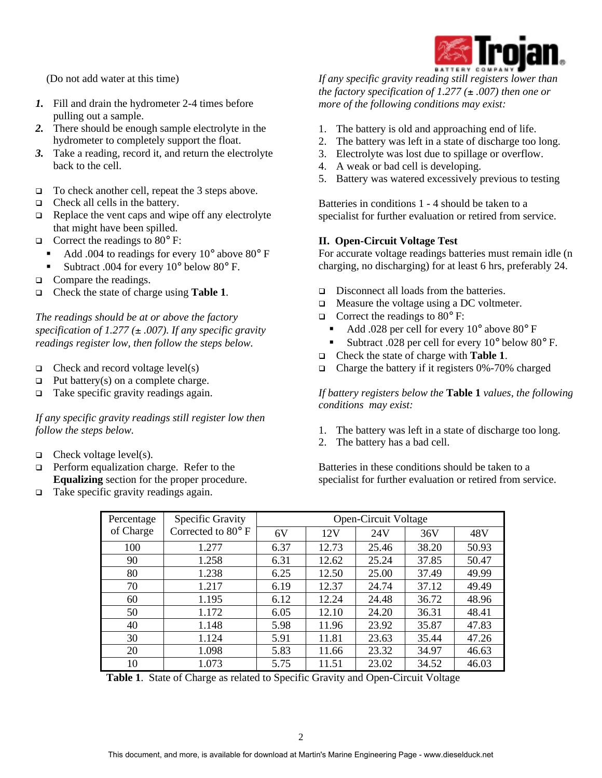

(Do not add water at this time)

- *1.* Fill and drain the hydrometer 2-4 times before pulling out a sample.
- *2.* There should be enough sample electrolyte in the hydrometer to completely support the float.
- *3.* Take a reading, record it, and return the electrolyte back to the cell.
- $\Box$  To check another cell, repeat the 3 steps above.
- $\Box$  Check all cells in the battery.
- $\Box$  Replace the vent caps and wipe off any electrolyte that might have been spilled.
- $\Box$  Correct the readings to 80 $\degree$  F:
- Add .004 to readings for every  $10^{\circ}$  above  $80^{\circ}$  F
	- **Subtract .004 for every 10° below 80° F.**
- $\Box$  Compare the readings.
- q Check the state of charge using **Table 1**.

*The readings should be at or above the factory* specification of  $1.277 \, (\pm 0.007)$ . If any specific gravity *readings register low, then follow the steps below.*

- $\Box$  Check and record voltage level(s)
- $\Box$  Put battery(s) on a complete charge.
- $\Box$  Take specific gravity readings again.

*If any specific gravity readings still register low then follow the steps below.*

- $\Box$  Check voltage level(s).
- $\Box$  Perform equalization charge. Refer to the **Equalizing** section for the proper procedure.
- $\Box$  Take specific gravity readings again.

*If any specific gravity reading still registers lower than the factory specification of 1.277 (* $\pm .007$ *) then one or more of the following conditions may exist:*

- 1. The battery is old and approaching end of life.
- 2. The battery was left in a state of discharge too long.
- 3. Electrolyte was lost due to spillage or overflow.
- 4. A weak or bad cell is developing.
- 5. Battery was watered excessively previous to testing

Batteries in conditions 1 - 4 should be taken to a specialist for further evaluation or retired from service.

### **II. Open-Circuit Voltage Test**

For accurate voltage readings batteries must remain idle (n charging, no discharging) for at least 6 hrs, preferably 24.

- $\Box$  Disconnect all loads from the batteries.
- $\Box$  Measure the voltage using a DC voltmeter.
- $\Box$  Correct the readings to 80 $\degree$  F:
	- ß Add .028 per cell for every 10° above 80° F
	- ß Subtract .028 per cell for every 10° below 80° F.
- q Check the state of charge with **Table 1**.
- $\Box$  Charge the battery if it registers 0%-70% charged

*If battery registers below the* **Table 1** *values, the following conditions may exist:*

- 1. The battery was left in a state of discharge too long.
- 2. The battery has a bad cell.

Batteries in these conditions should be taken to a specialist for further evaluation or retired from service.

| Percentage | Specific Gravity   | Open-Circuit Voltage |       |       |       |       |
|------------|--------------------|----------------------|-------|-------|-------|-------|
| of Charge  | Corrected to 80° F | 6V                   | 12V   | 24V   | 36V   | 48V   |
| 100        | 1.277              | 6.37                 | 12.73 | 25.46 | 38.20 | 50.93 |
| 90         | 1.258              | 6.31                 | 12.62 | 25.24 | 37.85 | 50.47 |
| 80         | 1.238              | 6.25                 | 12.50 | 25.00 | 37.49 | 49.99 |
| 70         | 1.217              | 6.19                 | 12.37 | 24.74 | 37.12 | 49.49 |
| 60         | 1.195              | 6.12                 | 12.24 | 24.48 | 36.72 | 48.96 |
| 50         | 1.172              | 6.05                 | 12.10 | 24.20 | 36.31 | 48.41 |
| 40         | 1.148              | 5.98                 | 11.96 | 23.92 | 35.87 | 47.83 |
| 30         | 1.124              | 5.91                 | 11.81 | 23.63 | 35.44 | 47.26 |
| 20         | 1.098              | 5.83                 | 11.66 | 23.32 | 34.97 | 46.63 |
| 10         | 1.073              | 5.75                 | 11.51 | 23.02 | 34.52 | 46.03 |

**Table 1**. State of Charge as related to Specific Gravity and Open-Circuit Voltage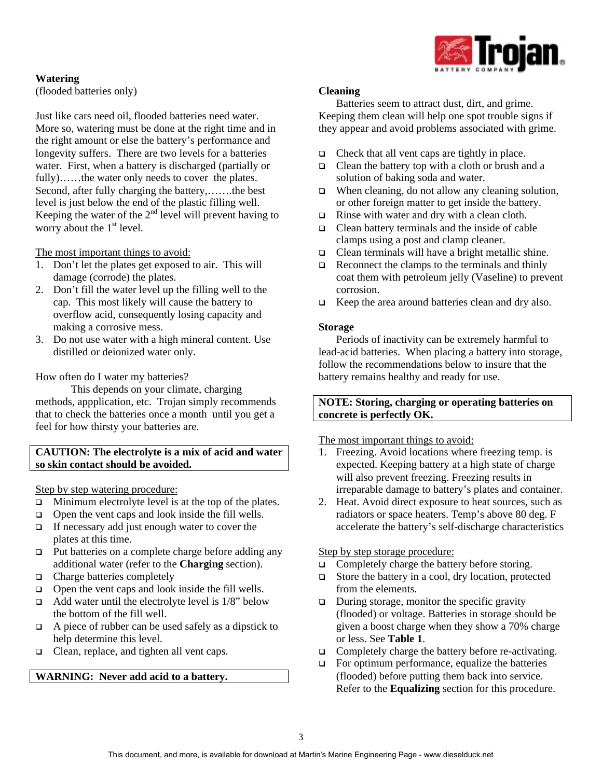

# **Watering**

(flooded batteries only)

Just like cars need oil, flooded batteries need water. More so, watering must be done at the right time and in the right amount or else the battery's performance and longevity suffers. There are two levels for a batteries water. First, when a battery is discharged (partially or fully)……the water only needs to cover the plates. Second, after fully charging the battery,…….the best level is just below the end of the plastic filling well. Keeping the water of the  $2<sup>nd</sup>$  level will prevent having to worry about the  $1<sup>st</sup>$  level.

The most important things to avoid:

- 1. Don't let the plates get exposed to air. This will damage (corrode) the plates.
- 2. Don't fill the water level up the filling well to the cap. This most likely will cause the battery to overflow acid, consequently losing capacity and making a corrosive mess.
- 3. Do not use water with a high mineral content. Use distilled or deionized water only.

## How often do I water my batteries?

This depends on your climate, charging methods, appplication, etc. Trojan simply recommends that to check the batteries once a month until you get a feel for how thirsty your batteries are.

## **CAUTION: The electrolyte is a mix of acid and water so skin contact should be avoided.**

Step by step watering procedure:

- $\Box$  Minimum electrolyte level is at the top of the plates.
- $\Box$  Open the vent caps and look inside the fill wells.
- $\Box$  If necessary add just enough water to cover the plates at this time.
- □ Put batteries on a complete charge before adding any additional water (refer to the **Charging** section).
- q Charge batteries completely
- $\Box$  Open the vent caps and look inside the fill wells.
- $\Box$  Add water until the electrolyte level is 1/8" below the bottom of the fill well.
- $\Box$  A piece of rubber can be used safely as a dipstick to help determine this level.
- □ Clean, replace, and tighten all vent caps.

## **WARNING: Never add acid to a battery.**

## **Cleaning**

Batteries seem to attract dust, dirt, and grime. Keeping them clean will help one spot trouble signs if they appear and avoid problems associated with grime.

- $\Box$  Check that all vent caps are tightly in place.
- $\Box$  Clean the battery top with a cloth or brush and a solution of baking soda and water.
- $\Box$  When cleaning, do not allow any cleaning solution, or other foreign matter to get inside the battery.
- $\Box$  Rinse with water and dry with a clean cloth.
- $\Box$  Clean battery terminals and the inside of cable clamps using a post and clamp cleaner.
- $\Box$  Clean terminals will have a bright metallic shine.
- $\Box$  Reconnect the clamps to the terminals and thinly coat them with petroleum jelly (Vaseline) to prevent corrosion.
- $\Box$  Keep the area around batteries clean and dry also.

### **Storage**

Periods of inactivity can be extremely harmful to lead-acid batteries. When placing a battery into storage, follow the recommendations below to insure that the battery remains healthy and ready for use.

## **NOTE: Storing, charging or operating batteries on concrete is perfectly OK.**

## The most important things to avoid:

- 1. Freezing. Avoid locations where freezing temp. is expected. Keeping battery at a high state of charge will also prevent freezing. Freezing results in irreparable damage to battery's plates and container.
- 2. Heat. Avoid direct exposure to heat sources, such as radiators or space heaters. Temp's above 80 deg. F accelerate the battery's self-discharge characteristics

## Step by step storage procedure:

- $\Box$  Completely charge the battery before storing.
- □ Store the battery in a cool, dry location, protected from the elements.
- $\Box$  During storage, monitor the specific gravity (flooded) or voltage. Batteries in storage should be given a boost charge when they show a 70% charge or less. See **Table 1**.
- $\Box$  Completely charge the battery before re-activating.
- $\Box$  For optimum performance, equalize the batteries (flooded) before putting them back into service. Refer to the **Equalizing** section for this procedure.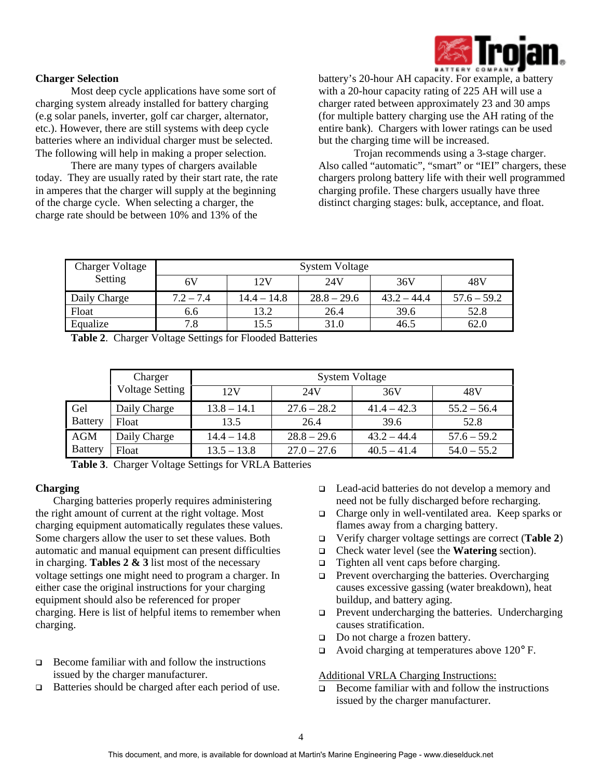

## **Charger Selection**

Most deep cycle applications have some sort of charging system already installed for battery charging (e.g solar panels, inverter, golf car charger, alternator, etc.). However, there are still systems with deep cycle batteries where an individual charger must be selected. The following will help in making a proper selection.

There are many types of chargers available today. They are usually rated by their start rate, the rate in amperes that the charger will supply at the beginning of the charge cycle. When selecting a charger, the charge rate should be between 10% and 13% of the

battery's 20-hour AH capacity. For example, a battery with a 20-hour capacity rating of 225 AH will use a charger rated between approximately 23 and 30 amps (for multiple battery charging use the AH rating of the entire bank). Chargers with lower ratings can be used but the charging time will be increased.

Trojan recommends using a 3-stage charger. Also called "automatic", "smart" or "IEI" chargers, these chargers prolong battery life with their well programmed charging profile. These chargers usually have three distinct charging stages: bulk, acceptance, and float.

| <b>Charger Voltage</b> | <b>System Voltage</b> |               |               |               |               |
|------------------------|-----------------------|---------------|---------------|---------------|---------------|
| Setting                | 6V                    | 12V           | 24V           | 36V           | 48V           |
| Daily Charge           | $7.2 - 7.4$           | $14.4 - 14.8$ | $28.8 - 29.6$ | $43.2 - 44.4$ | $57.6 - 59.2$ |
| Float                  | 6.6                   | 13.2          | 26.4          | 39.6          | 52.8          |
| Equalize               | 7.8                   | 15.5          | 31.0          | 46.5          | 62.0          |

**Table 2**. Charger Voltage Settings for Flooded Batteries

|                | Charger                | <b>System Voltage</b> |               |               |               |  |
|----------------|------------------------|-----------------------|---------------|---------------|---------------|--|
|                | <b>Voltage Setting</b> | 12V                   | 24V           | 36V           | 48V           |  |
| Gel            | Daily Charge           | $13.8 - 14.1$         | $27.6 - 28.2$ | $41.4 - 42.3$ | $55.2 - 56.4$ |  |
| <b>Battery</b> | Float                  | 13.5                  | 26.4          | 39.6          | 52.8          |  |
| AGM            | Daily Charge           | $14.4 - 14.8$         | $28.8 - 29.6$ | $43.2 - 44.4$ | $57.6 - 59.2$ |  |
| <b>Battery</b> | Float                  | $13.5 - 13.8$         | $27.0 - 27.6$ | $40.5 - 41.4$ | $54.0 - 55.2$ |  |

**Table 3**. Charger Voltage Settings for VRLA Batteries

## **Charging**

Charging batteries properly requires administering the right amount of current at the right voltage. Most charging equipment automatically regulates these values. Some chargers allow the user to set these values. Both automatic and manual equipment can present difficulties in charging. **Tables 2 & 3** list most of the necessary voltage settings one might need to program a charger. In either case the original instructions for your charging equipment should also be referenced for proper charging. Here is list of helpful items to remember when charging.

- $\Box$  Become familiar with and follow the instructions issued by the charger manufacturer.
- $\Box$  Batteries should be charged after each period of use.
- □ Lead-acid batteries do not develop a memory and need not be fully discharged before recharging.
- q Charge only in well-ventilated area. Keep sparks or flames away from a charging battery.
- q Verify charger voltage settings are correct (**Table 2**)
- q Check water level (see the **Watering** section).
- $\Box$  Tighten all vent caps before charging.
- $\Box$  Prevent overcharging the batteries. Overcharging causes excessive gassing (water breakdown), heat buildup, and battery aging.
- $\Box$  Prevent undercharging the batteries. Undercharging causes stratification.
- □ Do not charge a frozen battery.
- $\Box$  Avoid charging at temperatures above 120 $\degree$  F.

## Additional VRLA Charging Instructions:

 $\Box$  Become familiar with and follow the instructions issued by the charger manufacturer.